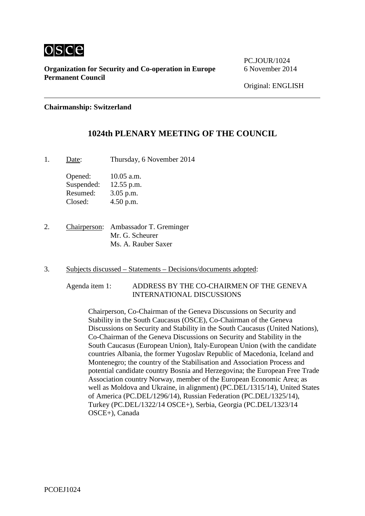

**Organization for Security and Co-operation in Europe** 6 November 2014 **Permanent Council**

PC.JOUR/1024

**Chairmanship: Switzerland**

## **1024th PLENARY MEETING OF THE COUNCIL**

1. Date: Thursday, 6 November 2014

Opened: 10.05 a.m. Suspended: 12.55 p.m. Resumed: 3.05 p.m. Closed: 4.50 p.m.

2. Chairperson: Ambassador T. Greminger Mr. G. Scheurer Ms. A. Rauber Saxer

- 3. Subjects discussed Statements Decisions/documents adopted:
	- Agenda item 1: ADDRESS BY THE CO-CHAIRMEN OF THE GENEVA INTERNATIONAL DISCUSSIONS

Chairperson, Co-Chairman of the Geneva Discussions on Security and Stability in the South Caucasus (OSCE), Co-Chairman of the Geneva Discussions on Security and Stability in the South Caucasus (United Nations), Co-Chairman of the Geneva Discussions on Security and Stability in the South Caucasus (European Union), Italy-European Union (with the candidate countries Albania, the former Yugoslav Republic of Macedonia, Iceland and Montenegro; the country of the Stabilisation and Association Process and potential candidate country Bosnia and Herzegovina; the European Free Trade Association country Norway, member of the European Economic Area; as well as Moldova and Ukraine, in alignment) (PC.DEL/1315/14), United States of America (PC.DEL/1296/14), Russian Federation (PC.DEL/1325/14), Turkey (PC.DEL/1322/14 OSCE+), Serbia, Georgia (PC.DEL/1323/14 OSCE+), Canada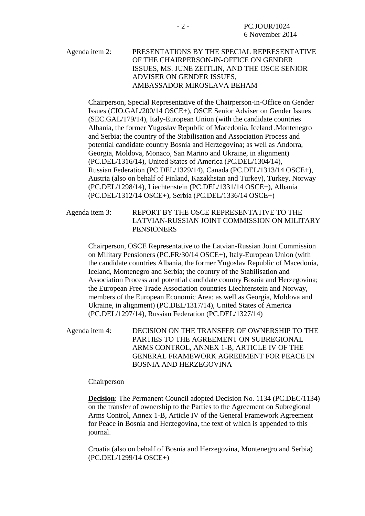## Agenda item 2: PRESENTATIONS BY THE SPECIAL REPRESENTATIVE OF THE CHAIRPERSON-IN-OFFICE ON GENDER ISSUES, MS. JUNE ZEITLIN, AND THE OSCE SENIOR ADVISER ON GENDER ISSUES, AMBASSADOR MIROSLAVA BEHAM

Chairperson, Special Representative of the Chairperson-in-Office on Gender Issues (CIO.GAL/200/14 OSCE+), OSCE Senior Adviser on Gender Issues (SEC.GAL/179/14), Italy-European Union (with the candidate countries Albania, the former Yugoslav Republic of Macedonia, Iceland ,Montenegro and Serbia; the country of the Stabilisation and Association Process and potential candidate country Bosnia and Herzegovina; as well as Andorra, Georgia, Moldova, Monaco, San Marino and Ukraine, in alignment) (PC.DEL/1316/14), United States of America (PC.DEL/1304/14), Russian Federation (PC.DEL/1329/14), Canada (PC.DEL/1313/14 OSCE+), Austria (also on behalf of Finland, Kazakhstan and Turkey), Turkey, Norway (PC.DEL/1298/14), Liechtenstein (PC.DEL/1331/14 OSCE+), Albania (PC.DEL/1312/14 OSCE+), Serbia (PC.DEL/1336/14 OSCE+)

Agenda item 3: REPORT BY THE OSCE REPRESENTATIVE TO THE LATVIAN-RUSSIAN JOINT COMMISSION ON MILITARY **PENSIONERS** 

Chairperson, OSCE Representative to the Latvian-Russian Joint Commission on Military Pensioners (PC.FR/30/14 OSCE+), Italy-European Union (with the candidate countries Albania, the former Yugoslav Republic of Macedonia, Iceland, Montenegro and Serbia; the country of the Stabilisation and Association Process and potential candidate country Bosnia and Herzegovina; the European Free Trade Association countries Liechtenstein and Norway, members of the European Economic Area; as well as Georgia, Moldova and Ukraine, in alignment) (PC.DEL/1317/14), United States of America (PC.DEL/1297/14), Russian Federation (PC.DEL/1327/14)

Agenda item 4: DECISION ON THE TRANSFER OF OWNERSHIP TO THE PARTIES TO THE AGREEMENT ON SUBREGIONAL ARMS CONTROL, ANNEX 1-B, ARTICLE IV OF THE GENERAL FRAMEWORK AGREEMENT FOR PEACE IN BOSNIA AND HERZEGOVINA

#### Chairperson

**Decision**: The Permanent Council adopted Decision No. 1134 (PC.DEC/1134) on the transfer of ownership to the Parties to the Agreement on Subregional Arms Control, Annex 1-B, Article IV of the General Framework Agreement for Peace in Bosnia and Herzegovina, the text of which is appended to this journal.

Croatia (also on behalf of Bosnia and Herzegovina, Montenegro and Serbia) (PC.DEL/1299/14 OSCE+)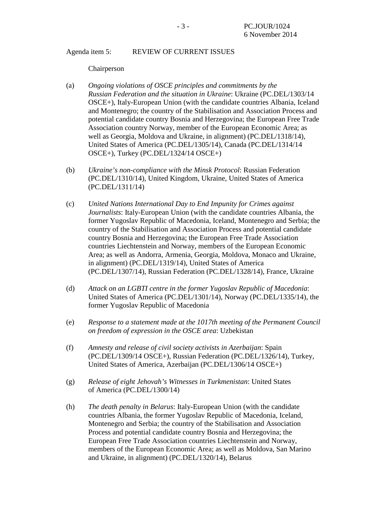## Agenda item 5: REVIEW OF CURRENT ISSUES

#### Chairperson

- (a) *Ongoing violations of OSCE principles and commitments by the Russian Federation and the situation in Ukraine*: Ukraine (PC.DEL/1303/14 OSCE+), Italy-European Union (with the candidate countries Albania, Iceland and Montenegro; the country of the Stabilisation and Association Process and potential candidate country Bosnia and Herzegovina; the European Free Trade Association country Norway, member of the European Economic Area; as well as Georgia, Moldova and Ukraine, in alignment) (PC.DEL/1318/14), United States of America (PC.DEL/1305/14), Canada (PC.DEL/1314/14 OSCE+), Turkey (PC.DEL/1324/14 OSCE+)
- (b) *Ukraine's non-compliance with the Minsk Protocol*: Russian Federation (PC.DEL/1310/14), United Kingdom, Ukraine, United States of America (PC.DEL/1311/14)
- (c) *United Nations International Day to End Impunity for Crimes against Journalists*: Italy-European Union (with the candidate countries Albania, the former Yugoslav Republic of Macedonia, Iceland, Montenegro and Serbia; the country of the Stabilisation and Association Process and potential candidate country Bosnia and Herzegovina; the European Free Trade Association countries Liechtenstein and Norway, members of the European Economic Area; as well as Andorra, Armenia, Georgia, Moldova, Monaco and Ukraine, in alignment) (PC.DEL/1319/14), United States of America (PC.DEL/1307/14), Russian Federation (PC.DEL/1328/14), France, Ukraine
- (d) *Attack on an LGBTI centre in the former Yugoslav Republic of Macedonia*: United States of America (PC.DEL/1301/14), Norway (PC.DEL/1335/14), the former Yugoslav Republic of Macedonia
- (e) *Response to a statement made at the 1017th meeting of the Permanent Council on freedom of expression in the OSCE area*: Uzbekistan
- (f) *Amnesty and release of civil society activists in Azerbaijan*: Spain (PC.DEL/1309/14 OSCE+), Russian Federation (PC.DEL/1326/14), Turkey, United States of America, Azerbaijan (PC.DEL/1306/14 OSCE+)
- (g) *Release of eight Jehovah's Witnesses in Turkmenistan*: United States of America (PC.DEL/1300/14)
- (h) *The death penalty in Belarus*: Italy-European Union (with the candidate countries Albania, the former Yugoslav Republic of Macedonia, Iceland, Montenegro and Serbia; the country of the Stabilisation and Association Process and potential candidate country Bosnia and Herzegovina; the European Free Trade Association countries Liechtenstein and Norway, members of the European Economic Area; as well as Moldova, San Marino and Ukraine, in alignment) (PC.DEL/1320/14), Belarus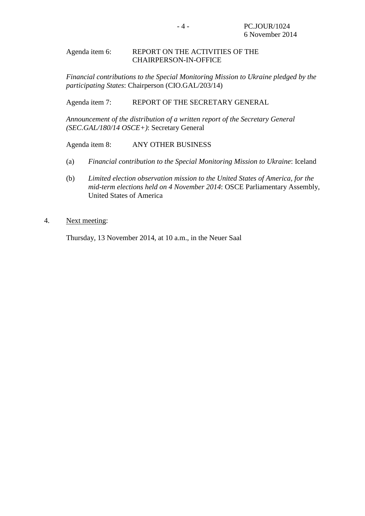### Agenda item 6: REPORT ON THE ACTIVITIES OF THE CHAIRPERSON-IN-OFFICE

*Financial contributions to the Special Monitoring Mission to Ukraine pledged by the participating States*: Chairperson (CIO.GAL/203/14)

Agenda item 7: REPORT OF THE SECRETARY GENERAL

*Announcement of the distribution of a written report of the Secretary General (SEC.GAL/180/14 OSCE+)*: Secretary General

Agenda item 8: ANY OTHER BUSINESS

- (a) *Financial contribution to the Special Monitoring Mission to Ukraine*: Iceland
- (b) *Limited election observation mission to the United States of America, for the mid-term elections held on 4 November 2014*: OSCE Parliamentary Assembly, United States of America
- 4. Next meeting:

Thursday, 13 November 2014, at 10 a.m., in the Neuer Saal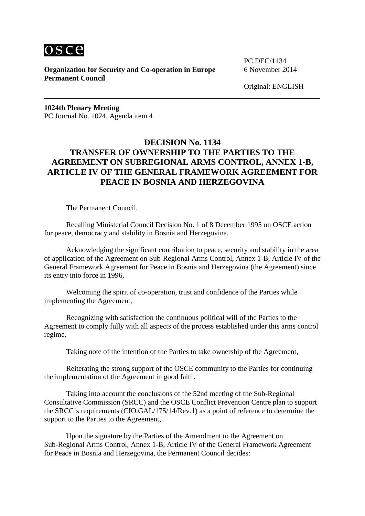

**Organization for Security and Co-operation in Europe** 6 November 2014 **Permanent Council**

PC.DEC/1134

Original: ENGLISH

**1024th Plenary Meeting** PC Journal No. 1024, Agenda item 4

# **DECISION No. 1134 TRANSFER OF OWNERSHIP TO THE PARTIES TO THE AGREEMENT ON SUBREGIONAL ARMS CONTROL, ANNEX 1-B, ARTICLE IV OF THE GENERAL FRAMEWORK AGREEMENT FOR PEACE IN BOSNIA AND HERZEGOVINA**

The Permanent Council,

Recalling Ministerial Council Decision No. 1 of 8 December 1995 on OSCE action for peace, democracy and stability in Bosnia and Herzegovina,

Acknowledging the significant contribution to peace, security and stability in the area of application of the Agreement on Sub-Regional Arms Control, Annex 1-B, Article IV of the General Framework Agreement for Peace in Bosnia and Herzegovina (the Agreement) since its entry into force in 1996,

Welcoming the spirit of co-operation, trust and confidence of the Parties while implementing the Agreement,

Recognizing with satisfaction the continuous political will of the Parties to the Agreement to comply fully with all aspects of the process established under this arms control regime,

Taking note of the intention of the Parties to take ownership of the Agreement,

Reiterating the strong support of the OSCE community to the Parties for continuing the implementation of the Agreement in good faith,

Taking into account the conclusions of the 52nd meeting of the Sub-Regional Consultative Commission (SRCC) and the OSCE Conflict Prevention Centre plan to support the SRCC's requirements (CIO.GAL/175/14/Rev.1) as a point of reference to determine the support to the Parties to the Agreement,

Upon the signature by the Parties of the Amendment to the Agreement on Sub-Regional Arms Control, Annex 1-B, Article IV of the General Framework Agreement for Peace in Bosnia and Herzegovina, the Permanent Council decides: